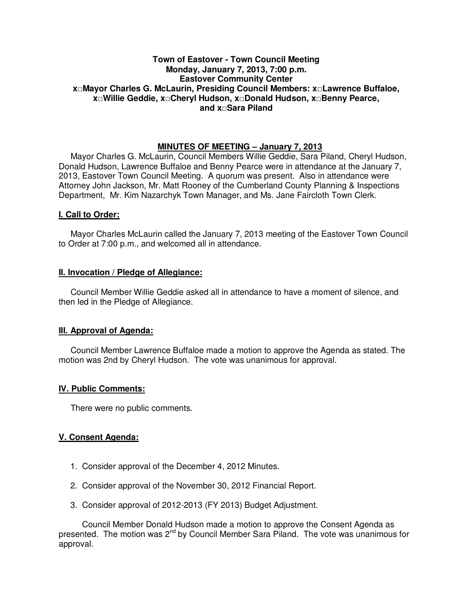## **Town of Eastover - Town Council Meeting Monday, January 7, 2013, 7:00 p.m. Eastover Community Center x□Mayor Charles G. McLaurin, Presiding Council Members: x□Lawrence Buffaloe, x□Willie Geddie, x□Cheryl Hudson, x□Donald Hudson, x□Benny Pearce, and x□Sara Piland**

# **MINUTES OF MEETING – January 7, 2013**

Mayor Charles G. McLaurin, Council Members Willie Geddie, Sara Piland, Cheryl Hudson, Donald Hudson, Lawrence Buffaloe and Benny Pearce were in attendance at the January 7, 2013, Eastover Town Council Meeting. A quorum was present. Also in attendance were Attorney John Jackson, Mr. Matt Rooney of the Cumberland County Planning & Inspections Department, Mr. Kim Nazarchyk Town Manager, and Ms. Jane Faircloth Town Clerk.

## **I. Call to Order:**

Mayor Charles McLaurin called the January 7, 2013 meeting of the Eastover Town Council to Order at 7:00 p.m., and welcomed all in attendance.

## **II. Invocation / Pledge of Allegiance:**

 Council Member Willie Geddie asked all in attendance to have a moment of silence, and then led in the Pledge of Allegiance.

# **III. Approval of Agenda:**

 Council Member Lawrence Buffaloe made a motion to approve the Agenda as stated. The motion was 2nd by Cheryl Hudson. The vote was unanimous for approval.

### **IV. Public Comments:**

There were no public comments.

### **V. Consent Agenda:**

- 1. Consider approval of the December 4, 2012 Minutes.
- 2. Consider approval of the November 30, 2012 Financial Report.
- 3. Consider approval of 2012-2013 (FY 2013) Budget Adjustment.

 Council Member Donald Hudson made a motion to approve the Consent Agenda as presented. The motion was  $2^{nd}$  by Council Member Sara Piland. The vote was unanimous for approval.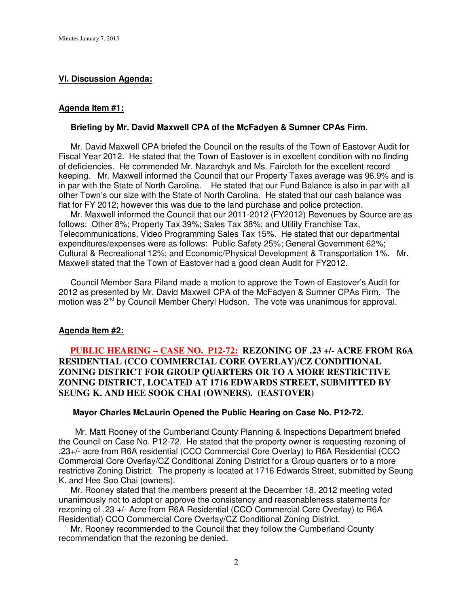### **VI. Discussion Agenda:**

#### **Agenda Item #1:**

#### **Briefing by Mr. David Maxwell CPA of the McFadyen & Sumner CPAs Firm.**

 Mr. David Maxwell CPA briefed the Council on the results of the Town of Eastover Audit for Fiscal Year 2012. He stated that the Town of Eastover is in excellent condition with no finding of deficiencies. He commended Mr. Nazarchyk and Ms. Faircloth for the excellent record keeping. Mr. Maxwell informed the Council that our Property Taxes average was 96.9% and is in par with the State of North Carolina. He stated that our Fund Balance is also in par with all other Town's our size with the State of North Carolina. He stated that our cash balance was flat for FY 2012; however this was due to the land purchase and police protection.

 Mr. Maxwell informed the Council that our 2011-2012 (FY2012) Revenues by Source are as follows: Other 8%; Property Tax 39%; Sales Tax 38%; and Utility Franchise Tax, Telecommunications, Video Programming Sales Tax 15%. He stated that our departmental expenditures/expenses were as follows: Public Safety 25%; General Government 62%; Cultural & Recreational 12%; and Economic/Physical Development & Transportation 1%. Mr. Maxwell stated that the Town of Eastover had a good clean Audit for FY2012.

 Council Member Sara Piland made a motion to approve the Town of Eastover's Audit for 2012 as presented by Mr. David Maxwell CPA of the McFadyen & Sumner CPAs Firm. The motion was 2<sup>nd</sup> by Council Member Cheryl Hudson. The vote was unanimous for approval.

#### **Agenda Item #2:**

# **PUBLIC HEARING – CASE NO. P12-72: REZONING OF .23 +/- ACRE FROM R6A RESIDENTIAL (CCO COMMERCIAL CORE OVERLAY)/CZ CONDITIONAL ZONING DISTRICT FOR GROUP QUARTERS OR TO A MORE RESTRICTIVE ZONING DISTRICT, LOCATED AT 1716 EDWARDS STREET, SUBMITTED BY SEUNG K. AND HEE SOOK CHAI (OWNERS). (EASTOVER)**

#### **Mayor Charles McLaurin Opened the Public Hearing on Case No. P12-72.**

 Mr. Matt Rooney of the Cumberland County Planning & Inspections Department briefed the Council on Case No. P12-72. He stated that the property owner is requesting rezoning of .23+/- acre from R6A residential (CCO Commercial Core Overlay) to R6A Residential (CCO Commercial Core Overlay/CZ Conditional Zoning District for a Group quarters or to a more restrictive Zoning District. The property is located at 1716 Edwards Street, submitted by Seung K. and Hee Soo Chai (owners).

 Mr. Rooney stated that the members present at the December 18, 2012 meeting voted unanimously not to adopt or approve the consistency and reasonableness statements for rezoning of .23 +/- Acre from R6A Residential (CCO Commercial Core Overlay) to R6A Residential) CCO Commercial Core Overlay/CZ Conditional Zoning District.

 Mr. Rooney recommended to the Council that they follow the Cumberland County recommendation that the rezoning be denied.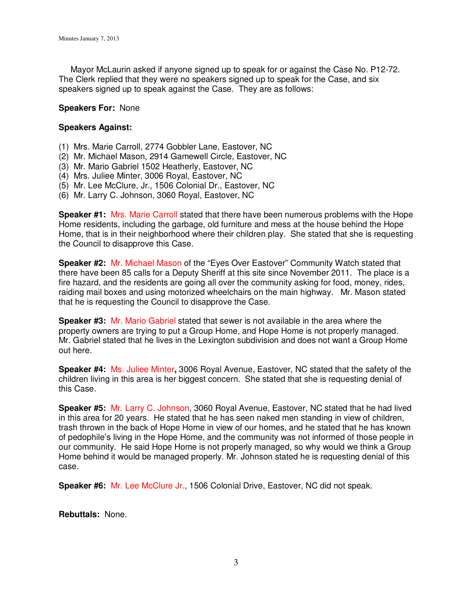Mayor McLaurin asked if anyone signed up to speak for or against the Case No. P12-72. The Clerk replied that they were no speakers signed up to speak for the Case, and six speakers signed up to speak against the Case. They are as follows:

### **Speakers For:** None

## **Speakers Against:**

- (1) Mrs. Marie Carroll, 2774 Gobbler Lane, Eastover, NC
- (2) Mr. Michael Mason, 2914 Gamewell Circle, Eastover, NC
- (3) Mr. Mario Gabriel 1502 Heatherly, Eastover, NC
- (4) Mrs. Juliee Minter, 3006 Royal, Eastover, NC
- (5) Mr. Lee McClure, Jr., 1506 Colonial Dr., Eastover, NC
- (6) Mr. Larry C. Johnson, 3060 Royal, Eastover, NC

**Speaker #1:** Mrs. Marie Carroll stated that there have been numerous problems with the Hope Home residents, including the garbage, old furniture and mess at the house behind the Hope Home, that is in their neighborhood where their children play. She stated that she is requesting the Council to disapprove this Case.

**Speaker #2:** Mr. Michael Mason of the "Eyes Over Eastover" Community Watch stated that there have been 85 calls for a Deputy Sheriff at this site since November 2011. The place is a fire hazard, and the residents are going all over the community asking for food, money, rides, raiding mail boxes and using motorized wheelchairs on the main highway. Mr. Mason stated that he is requesting the Council to disapprove the Case.

**Speaker #3:** Mr. Mario Gabriel stated that sewer is not available in the area where the property owners are trying to put a Group Home, and Hope Home is not properly managed. Mr. Gabriel stated that he lives in the Lexington subdivision and does not want a Group Home out here.

**Speaker #4:** Ms. Juliee Minter**,** 3006 Royal Avenue, Eastover, NC stated that the safety of the children living in this area is her biggest concern. She stated that she is requesting denial of this Case.

**Speaker #5:** Mr. Larry C. Johnson, 3060 Royal Avenue, Eastover, NC stated that he had lived in this area for 20 years. He stated that he has seen naked men standing in view of children, trash thrown in the back of Hope Home in view of our homes, and he stated that he has known of pedophile's living in the Hope Home, and the community was not informed of those people in our community. He said Hope Home is not properly managed, so why would we think a Group Home behind it would be managed properly. Mr. Johnson stated he is requesting denial of this case.

**Speaker #6:** Mr. Lee McClure Jr., 1506 Colonial Drive, Eastover, NC did not speak.

**Rebuttals:** None.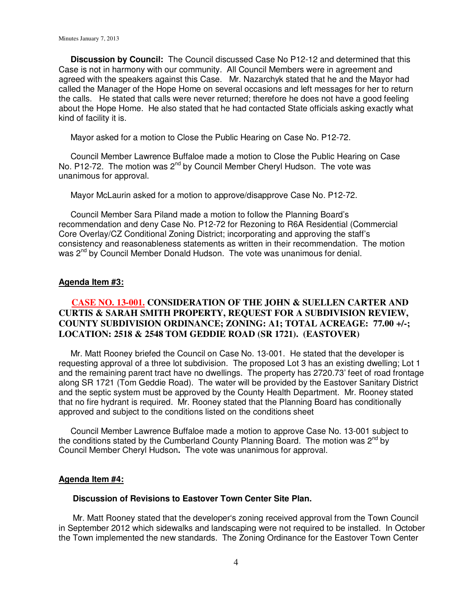**Discussion by Council:** The Council discussed Case No P12-12 and determined that this Case is not in harmony with our community. All Council Members were in agreement and agreed with the speakers against this Case. Mr. Nazarchyk stated that he and the Mayor had called the Manager of the Hope Home on several occasions and left messages for her to return the calls. He stated that calls were never returned; therefore he does not have a good feeling about the Hope Home. He also stated that he had contacted State officials asking exactly what kind of facility it is.

Mayor asked for a motion to Close the Public Hearing on Case No. P12-72.

 Council Member Lawrence Buffaloe made a motion to Close the Public Hearing on Case No. P12-72. The motion was 2<sup>nd</sup> by Council Member Cheryl Hudson. The vote was unanimous for approval.

Mayor McLaurin asked for a motion to approve/disapprove Case No. P12-72.

 Council Member Sara Piland made a motion to follow the Planning Board's recommendation and deny Case No. P12-72 for Rezoning to R6A Residential (Commercial Core Overlay/CZ Conditional Zoning District; incorporating and approving the staff's consistency and reasonableness statements as written in their recommendation. The motion was 2<sup>nd</sup> by Council Member Donald Hudson. The vote was unanimous for denial.

#### **Agenda Item #3:**

# **CASE NO. 13-001. CONSIDERATION OF THE JOHN & SUELLEN CARTER AND CURTIS & SARAH SMITH PROPERTY, REQUEST FOR A SUBDIVISION REVIEW, COUNTY SUBDIVISION ORDINANCE; ZONING: A1; TOTAL ACREAGE: 77.00 +/-; LOCATION: 2518 & 2548 TOM GEDDIE ROAD (SR 1721). (EASTOVER)**

Mr. Matt Rooney briefed the Council on Case No. 13-001. He stated that the developer is requesting approval of a three lot subdivision. The proposed Lot 3 has an existing dwelling; Lot 1 and the remaining parent tract have no dwellings. The property has 2720.73' feet of road frontage along SR 1721 (Tom Geddie Road). The water will be provided by the Eastover Sanitary District and the septic system must be approved by the County Health Department. Mr. Rooney stated that no fire hydrant is required. Mr. Rooney stated that the Planning Board has conditionally approved and subject to the conditions listed on the conditions sheet

 Council Member Lawrence Buffaloe made a motion to approve Case No. 13-001 subject to the conditions stated by the Cumberland County Planning Board. The motion was  $2^{nd}$  by Council Member Cheryl Hudson**.** The vote was unanimous for approval.

### **Agenda Item #4:**

#### **Discussion of Revisions to Eastover Town Center Site Plan.**

 Mr. Matt Rooney stated that the developer's zoning received approval from the Town Council in September 2012 which sidewalks and landscaping were not required to be installed. In October the Town implemented the new standards. The Zoning Ordinance for the Eastover Town Center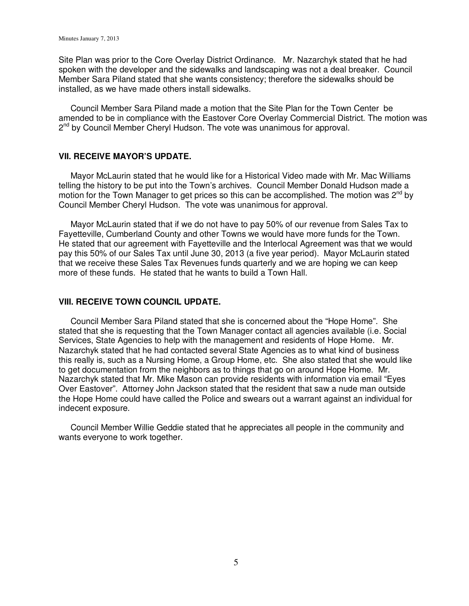Site Plan was prior to the Core Overlay District Ordinance. Mr. Nazarchyk stated that he had spoken with the developer and the sidewalks and landscaping was not a deal breaker. Council Member Sara Piland stated that she wants consistency; therefore the sidewalks should be installed, as we have made others install sidewalks.

 Council Member Sara Piland made a motion that the Site Plan for the Town Center be amended to be in compliance with the Eastover Core Overlay Commercial District. The motion was 2 nd by Council Member Cheryl Hudson. The vote was unanimous for approval.

## **VII. RECEIVE MAYOR'S UPDATE.**

 Mayor McLaurin stated that he would like for a Historical Video made with Mr. Mac Williams telling the history to be put into the Town's archives. Council Member Donald Hudson made a motion for the Town Manager to get prices so this can be accomplished. The motion was  $2^{nd}$  by Council Member Cheryl Hudson. The vote was unanimous for approval.

 Mayor McLaurin stated that if we do not have to pay 50% of our revenue from Sales Tax to Fayetteville, Cumberland County and other Towns we would have more funds for the Town. He stated that our agreement with Fayetteville and the Interlocal Agreement was that we would pay this 50% of our Sales Tax until June 30, 2013 (a five year period). Mayor McLaurin stated that we receive these Sales Tax Revenues funds quarterly and we are hoping we can keep more of these funds. He stated that he wants to build a Town Hall.

#### **VIII. RECEIVE TOWN COUNCIL UPDATE.**

 Council Member Sara Piland stated that she is concerned about the "Hope Home". She stated that she is requesting that the Town Manager contact all agencies available (i.e. Social Services, State Agencies to help with the management and residents of Hope Home. Mr. Nazarchyk stated that he had contacted several State Agencies as to what kind of business this really is, such as a Nursing Home, a Group Home, etc. She also stated that she would like to get documentation from the neighbors as to things that go on around Hope Home. Mr. Nazarchyk stated that Mr. Mike Mason can provide residents with information via email "Eyes Over Eastover". Attorney John Jackson stated that the resident that saw a nude man outside the Hope Home could have called the Police and swears out a warrant against an individual for indecent exposure.

 Council Member Willie Geddie stated that he appreciates all people in the community and wants everyone to work together.